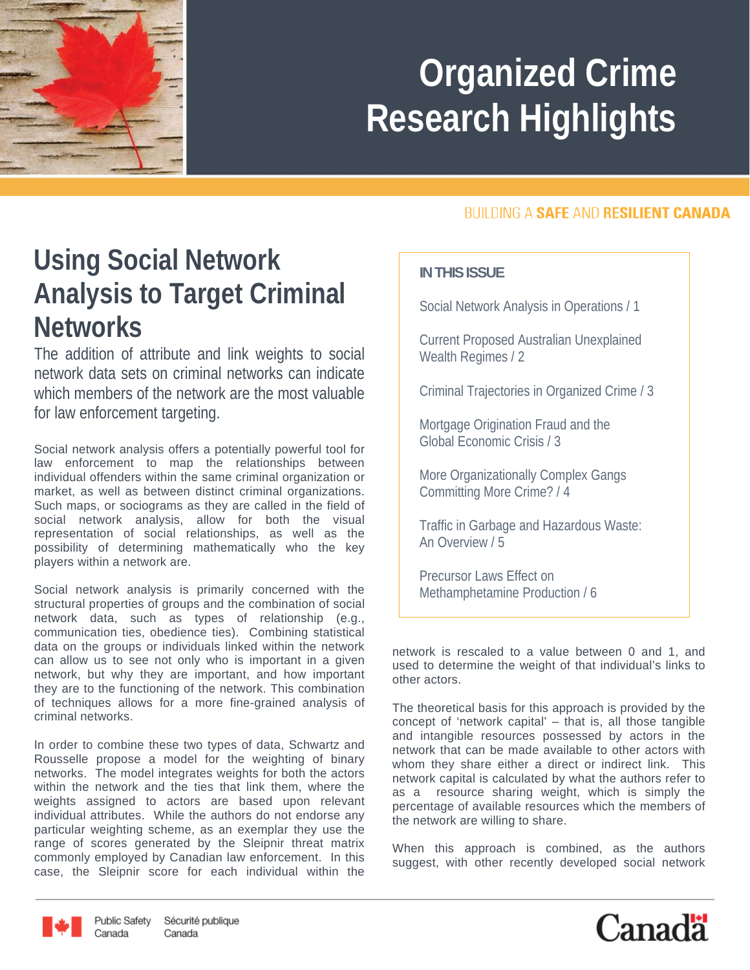

# **Organized Crime Research Highlights**

### **Using Social Network Analysis to Target Criminal Networks**

The addition of attribute and link weights to social network data sets on criminal networks can indicate which members of the network are the most valuable for law enforcement targeting.

Social network analysis offers a potentially powerful tool for law enforcement to map the relationships between individual offenders within the same criminal organization or market, as well as between distinct criminal organizations. Such maps, or sociograms as they are called in the field of social network analysis, allow for both the visual representation of social relationships, as well as the possibility of determining mathematically who the key players within a network are.

Social network analysis is primarily concerned with the structural properties of groups and the combination of social network data, such as types of relationship (e.g., communication ties, obedience ties). Combining statistical data on the groups or individuals linked within the network can allow us to see not only who is important in a given network, but why they are important, and how important they are to the functioning of the network. This combination of techniques allows for a more fine-grained analysis of criminal networks.

In order to combine these two types of data, Schwartz and Rousselle propose a model for the weighting of binary networks. The model integrates weights for both the actors within the network and the ties that link them, where the weights assigned to actors are based upon relevant individual attributes. While the authors do not endorse any particular weighting scheme, as an exemplar they use the range of scores generated by the Sleipnir threat matrix commonly employed by Canadian law enforcement. In this case, the Sleipnir score for each individual within the

#### **BUILDING A SAFE AND RESILIENT CANADA**

#### **IN THIS ISSUE**

Social Network Analysis in Operations / 1

Current Proposed Australian Unexplained Wealth Regimes / 2

Criminal Trajectories in Organized Crime / 3

Mortgage Origination Fraud and the Global Economic Crisis / 3

More Organizationally Complex Gangs Committing More Crime? / 4

Traffic in Garbage and Hazardous Waste: An Overview / 5

Precursor Laws Effect on Methamphetamine Production / 6

network is rescaled to a value between 0 and 1, and used to determine the weight of that individual's links to other actors.

The theoretical basis for this approach is provided by the concept of 'network capital' – that is, all those tangible and intangible resources possessed by actors in the network that can be made available to other actors with whom they share either a direct or indirect link. This network capital is calculated by what the authors refer to as a resource sharing weight, which is simply the percentage of available resources which the members of the network are willing to share.

When this approach is combined, as the authors suggest, with other recently developed social network



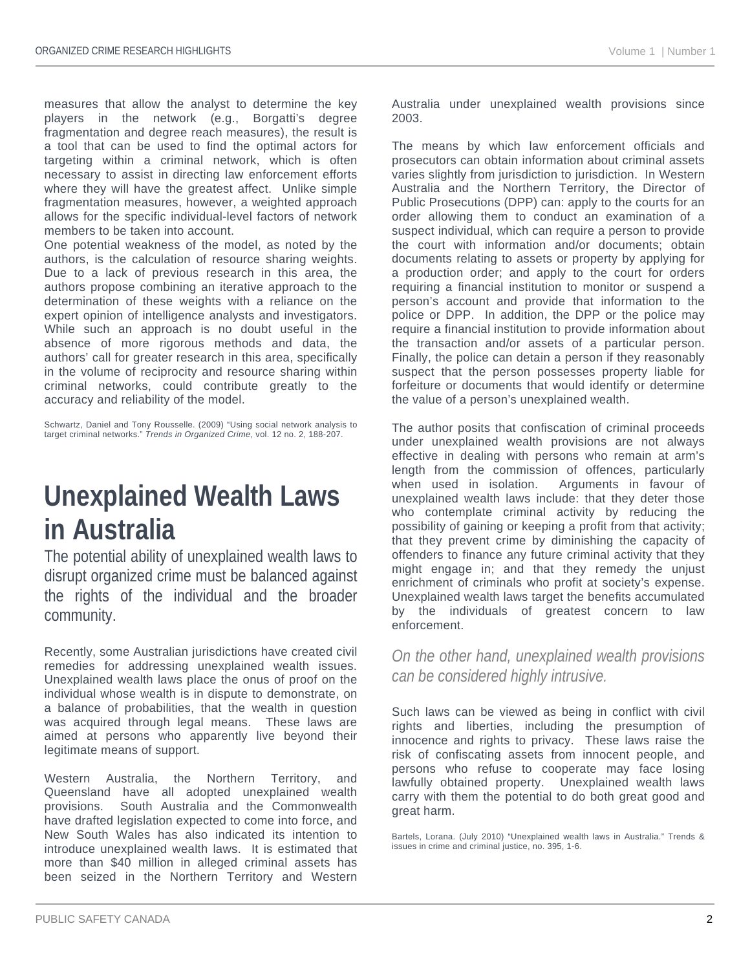measures that allow the analyst to determine the key players in the network (e.g., Borgatti's degree fragmentation and degree reach measures), the result is a tool that can be used to find the optimal actors for targeting within a criminal network, which is often necessary to assist in directing law enforcement efforts where they will have the greatest affect. Unlike simple fragmentation measures, however, a weighted approach allows for the specific individual-level factors of network members to be taken into account.

One potential weakness of the model, as noted by the authors, is the calculation of resource sharing weights. Due to a lack of previous research in this area, the authors propose combining an iterative approach to the determination of these weights with a reliance on the expert opinion of intelligence analysts and investigators. While such an approach is no doubt useful in the absence of more rigorous methods and data, the authors' call for greater research in this area, specifically in the volume of reciprocity and resource sharing within criminal networks, could contribute greatly to the accuracy and reliability of the model.

Schwartz, Daniel and Tony Rousselle. (2009) "Using social network analysis to target criminal networks." *Trends in Organized Crime*, vol. 12 no. 2, 188-207.

#### **Unexplained Wealth Laws in Australia**

The potential ability of unexplained wealth laws to disrupt organized crime must be balanced against the rights of the individual and the broader community.

Recently, some Australian jurisdictions have created civil remedies for addressing unexplained wealth issues. Unexplained wealth laws place the onus of proof on the individual whose wealth is in dispute to demonstrate, on a balance of probabilities, that the wealth in question was acquired through legal means. These laws are aimed at persons who apparently live beyond their legitimate means of support.

Western Australia, the Northern Territory, and Queensland have all adopted unexplained wealth provisions. South Australia and the Commonwealth have drafted legislation expected to come into force, and New South Wales has also indicated its intention to introduce unexplained wealth laws. It is estimated that more than \$40 million in alleged criminal assets has been seized in the Northern Territory and Western

Australia under unexplained wealth provisions since 2003.

The means by which law enforcement officials and prosecutors can obtain information about criminal assets varies slightly from jurisdiction to jurisdiction. In Western Australia and the Northern Territory, the Director of Public Prosecutions (DPP) can: apply to the courts for an order allowing them to conduct an examination of a suspect individual, which can require a person to provide the court with information and/or documents; obtain documents relating to assets or property by applying for a production order; and apply to the court for orders requiring a financial institution to monitor or suspend a person's account and provide that information to the police or DPP. In addition, the DPP or the police may require a financial institution to provide information about the transaction and/or assets of a particular person. Finally, the police can detain a person if they reasonably suspect that the person possesses property liable for forfeiture or documents that would identify or determine the value of a person's unexplained wealth.

The author posits that confiscation of criminal proceeds under unexplained wealth provisions are not always effective in dealing with persons who remain at arm's length from the commission of offences, particularly when used in isolation. Arguments in favour of unexplained wealth laws include: that they deter those who contemplate criminal activity by reducing the possibility of gaining or keeping a profit from that activity; that they prevent crime by diminishing the capacity of offenders to finance any future criminal activity that they might engage in; and that they remedy the unjust enrichment of criminals who profit at society's expense. Unexplained wealth laws target the benefits accumulated by the individuals of greatest concern to enforcement.

*On the other hand, unexplained wealth provisions can be considered highly intrusive.* 

Such laws can be viewed as being in conflict with civil rights and liberties, including the presumption of innocence and rights to privacy. These laws raise the risk of confiscating assets from innocent people, and persons who refuse to cooperate may face losing lawfully obtained property. Unexplained wealth laws carry with them the potential to do both great good and great harm.

Bartels, Lorana. (July 2010) "Unexplained wealth laws in Australia." Trends & issues in crime and criminal justice, no. 395, 1-6.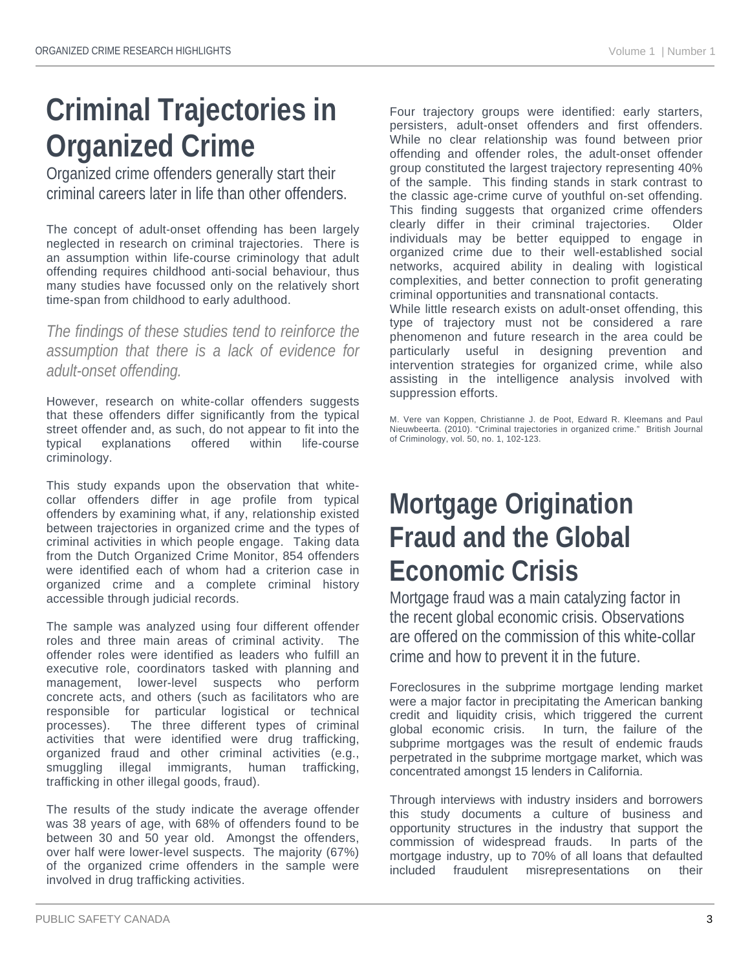## **Criminal Trajectories in Organized Crime**

Organized crime offenders generally start their criminal careers later in life than other offenders.

The concept of adult-onset offending has been largely neglected in research on criminal trajectories. There is an assumption within life-course criminology that adult offending requires childhood anti-social behaviour, thus many studies have focussed only on the relatively short time-span from childhood to early adulthood.

*The findings of these studies tend to reinforce the assumption that there is a lack of evidence for adult-onset offending.* 

However, research on white-collar offenders suggests that these offenders differ significantly from the typical street offender and, as such, do not appear to fit into the typical explanations offered within life-course criminology.

This study expands upon the observation that whitecollar offenders differ in age profile from typical offenders by examining what, if any, relationship existed between trajectories in organized crime and the types of criminal activities in which people engage. Taking data from the Dutch Organized Crime Monitor, 854 offenders were identified each of whom had a criterion case in organized crime and a complete criminal history accessible through judicial records.

The sample was analyzed using four different offender roles and three main areas of criminal activity. The offender roles were identified as leaders who fulfill an executive role, coordinators tasked with planning and management, lower-level suspects who perform concrete acts, and others (such as facilitators who are responsible for particular logistical or technical processes). The three different types of criminal activities that were identified were drug trafficking, organized fraud and other criminal activities (e.g., smuggling illegal immigrants, human trafficking, trafficking in other illegal goods, fraud).

The results of the study indicate the average offender was 38 years of age, with 68% of offenders found to be between 30 and 50 year old. Amongst the offenders, over half were lower-level suspects. The majority (67%) of the organized crime offenders in the sample were involved in drug trafficking activities.

Four trajectory groups were identified: early starters, persisters, adult-onset offenders and first offenders. While no clear relationship was found between prior offending and offender roles, the adult-onset offender group constituted the largest trajectory representing 40% of the sample. This finding stands in stark contrast to the classic age-crime curve of youthful on-set offending. This finding suggests that organized crime offenders clearly differ in their criminal trajectories. Older individuals may be better equipped to engage in organized crime due to their well-established social networks, acquired ability in dealing with logistical complexities, and better connection to profit generating criminal opportunities and transnational contacts.

While little research exists on adult-onset offending, this type of trajectory must not be considered a rare phenomenon and future research in the area could be particularly useful in designing prevention and intervention strategies for organized crime, while also assisting in the intelligence analysis involved with suppression efforts.

M. Vere van Koppen, Christianne J. de Poot, Edward R. Kleemans and Paul Nieuwbeerta. (2010). "Criminal trajectories in organized crime." British Journal of Criminology, vol. 50, no. 1, 102-123.

### **Mortgage Origination Fraud and the Global Economic Crisis**

Mortgage fraud was a main catalyzing factor in the recent global economic crisis. Observations are offered on the commission of this white-collar crime and how to prevent it in the future.

Foreclosures in the subprime mortgage lending market were a major factor in precipitating the American banking credit and liquidity crisis, which triggered the current global economic crisis. In turn, the failure of the subprime mortgages was the result of endemic frauds perpetrated in the subprime mortgage market, which was concentrated amongst 15 lenders in California.

Through interviews with industry insiders and borrowers this study documents a culture of business and opportunity structures in the industry that support the commission of widespread frauds. In parts of the mortgage industry, up to 70% of all loans that defaulted included fraudulent misrepresentations on their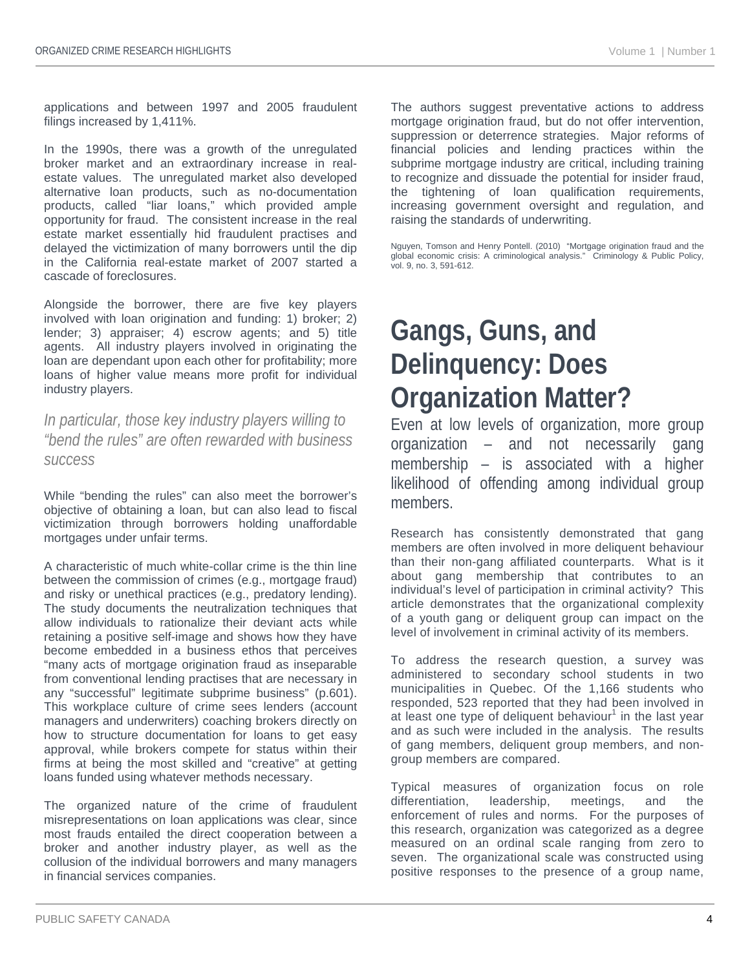applications and between 1997 and 2005 fraudulent filings increased by 1,411%.

In the 1990s, there was a growth of the unregulated broker market and an extraordinary increase in realestate values. The unregulated market also developed alternative loan products, such as no-documentation products, called "liar loans," which provided ample opportunity for fraud. The consistent increase in the real estate market essentially hid fraudulent practises and delayed the victimization of many borrowers until the dip in the California real-estate market of 2007 started a cascade of foreclosures.

Alongside the borrower, there are five key players involved with loan origination and funding: 1) broker; 2) lender; 3) appraiser; 4) escrow agents; and 5) title agents. All industry players involved in originating the loan are dependant upon each other for profitability; more loans of higher value means more profit for individual industry players.

*In particular, those key industry players willing to "bend the rules" are often rewarded with business success* 

While "bending the rules" can also meet the borrower's objective of obtaining a loan, but can also lead to fiscal victimization through borrowers holding unaffordable mortgages under unfair terms.

A characteristic of much white-collar crime is the thin line between the commission of crimes (e.g., mortgage fraud) and risky or unethical practices (e.g., predatory lending). The study documents the neutralization techniques that allow individuals to rationalize their deviant acts while retaining a positive self-image and shows how they have become embedded in a business ethos that perceives "many acts of mortgage origination fraud as inseparable from conventional lending practises that are necessary in any "successful" legitimate subprime business" (p.601). This workplace culture of crime sees lenders (account managers and underwriters) coaching brokers directly on how to structure documentation for loans to get easy approval, while brokers compete for status within their firms at being the most skilled and "creative" at getting loans funded using whatever methods necessary.

The organized nature of the crime of fraudulent misrepresentations on loan applications was clear, since most frauds entailed the direct cooperation between a broker and another industry player, as well as the collusion of the individual borrowers and many managers in financial services companies.

The authors suggest preventative actions to address mortgage origination fraud, but do not offer intervention, suppression or deterrence strategies. Major reforms of financial policies and lending practices within the subprime mortgage industry are critical, including training to recognize and dissuade the potential for insider fraud, the tightening of loan qualification requirements, increasing government oversight and regulation, and raising the standards of underwriting.

Nguyen, Tomson and Henry Pontell. (2010) "Mortgage origination fraud and the global economic crisis: A criminological analysis." Criminology & Public Policy, vol. 9, no. 3, 591-612.

### **Gangs, Guns, and Delinquency: Does Organization Matter?**

Even at low levels of organization, more group organization – and not necessarily gang membership – is associated with a higher likelihood of offending among individual group members.

Research has consistently demonstrated that gang members are often involved in more deliquent behaviour than their non-gang affiliated counterparts. What is it about gang membership that contributes to an individual's level of participation in criminal activity? This article demonstrates that the organizational complexity of a youth gang or deliquent group can impact on the level of involvement in criminal activity of its members.

To address the research question, a survey was administered to secondary school students in two municipalities in Quebec. Of the 1,166 students who responded, 523 reported that they had been involved in at least one type of deliquent behaviour<sup>1</sup> in the last year and as such were included in the analysis. The results of gang members, deliquent group members, and nongroup members are compared.

Typical measures of organization focus on role differentiation, leadership, meetings, and the enforcement of rules and norms. For the purposes of this research, organization was categorized as a degree measured on an ordinal scale ranging from zero to seven. The organizational scale was constructed using positive responses to the presence of a group name,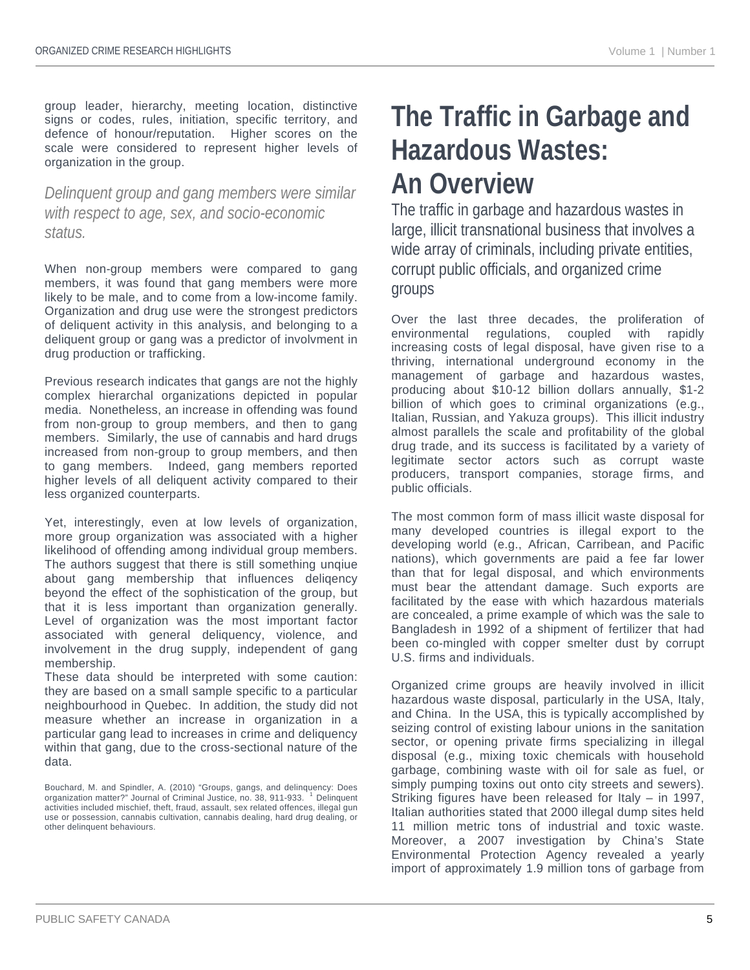group leader, hierarchy, meeting location, distinctive signs or codes, rules, initiation, specific territory, and defence of honour/reputation. Higher scores on the scale were considered to represent higher levels of organization in the group.

#### *Delinquent group and gang members were similar with respect to age, sex, and socio-economic status.*

When non-group members were compared to gang members, it was found that gang members were more likely to be male, and to come from a low-income family. Organization and drug use were the strongest predictors of deliquent activity in this analysis, and belonging to a deliquent group or gang was a predictor of involvment in drug production or trafficking.

Previous research indicates that gangs are not the highly complex hierarchal organizations depicted in popular media. Nonetheless, an increase in offending was found from non-group to group members, and then to gang members. Similarly, the use of cannabis and hard drugs increased from non-group to group members, and then to gang members. Indeed, gang members reported higher levels of all deliquent activity compared to their less organized counterparts.

Yet, interestingly, even at low levels of organization, more group organization was associated with a higher likelihood of offending among individual group members. The authors suggest that there is still something unqiue about gang membership that influences deliqency beyond the effect of the sophistication of the group, but that it is less important than organization generally. Level of organization was the most important factor associated with general deliquency, violence, and involvement in the drug supply, independent of gang membership.

These data should be interpreted with some caution: they are based on a small sample specific to a particular neighbourhood in Quebec. In addition, the study did not measure whether an increase in organization in a particular gang lead to increases in crime and deliquency within that gang, due to the cross-sectional nature of the data.

### **The Traffic in Garbage and Hazardous Wastes: An Overview**

The traffic in garbage and hazardous wastes in large, illicit transnational business that involves a wide array of criminals, including private entities, corrupt public officials, and organized crime groups

Over the last three decades, the proliferation of environmental regulations, coupled with rapidly increasing costs of legal disposal, have given rise to a thriving, international underground economy in the management of garbage and hazardous wastes, producing about \$10-12 billion dollars annually, \$1-2 billion of which goes to criminal organizations (e.g., Italian, Russian, and Yakuza groups). This illicit industry almost parallels the scale and profitability of the global drug trade, and its success is facilitated by a variety of legitimate sector actors such as corrupt waste producers, transport companies, storage firms, and public officials.

The most common form of mass illicit waste disposal for many developed countries is illegal export to the developing world (e.g., African, Carribean, and Pacific nations), which governments are paid a fee far lower than that for legal disposal, and which environments must bear the attendant damage. Such exports are facilitated by the ease with which hazardous materials are concealed, a prime example of which was the sale to Bangladesh in 1992 of a shipment of fertilizer that had been co-mingled with copper smelter dust by corrupt U.S. firms and individuals.

Organized crime groups are heavily involved in illicit hazardous waste disposal, particularly in the USA, Italy, and China. In the USA, this is typically accomplished by seizing control of existing labour unions in the sanitation sector, or opening private firms specializing in illegal disposal (e.g., mixing toxic chemicals with household garbage, combining waste with oil for sale as fuel, or simply pumping toxins out onto city streets and sewers). Striking figures have been released for Italy – in 1997, Italian authorities stated that 2000 illegal dump sites held 11 million metric tons of industrial and toxic waste. Moreover, a 2007 investigation by China's State Environmental Protection Agency revealed a yearly import of approximately 1.9 million tons of garbage from

Bouchard, M. and Spindler, A. (2010) "Groups, gangs, and delinquency: Does organization matter?" Journal of Criminal Justice, no. 38, 911-933. <sup>1</sup> Delinquent activities included mischief, theft, fraud, assault, sex related offences, illegal gun use or possession, cannabis cultivation, cannabis dealing, hard drug dealing, or other delinquent behaviours.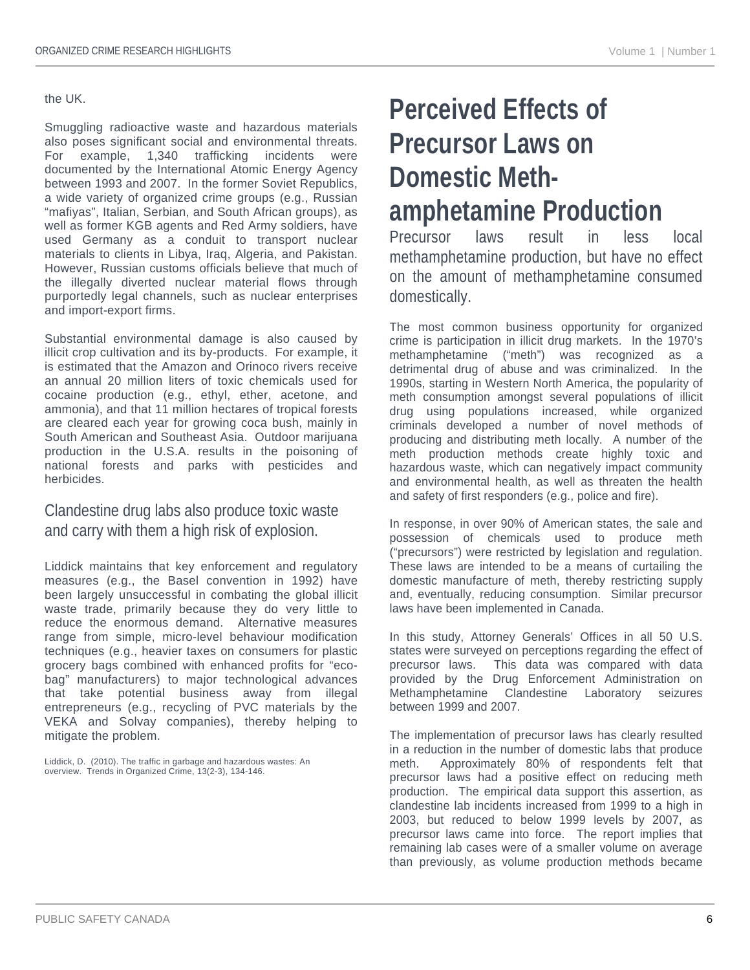#### the UK.

Smuggling radioactive waste and hazardous materials also poses significant social and environmental threats. For example, 1,340 trafficking incidents were documented by the International Atomic Energy Agency between 1993 and 2007. In the former Soviet Republics, a wide variety of organized crime groups (e.g., Russian "mafiyas", Italian, Serbian, and South African groups), as well as former KGB agents and Red Army soldiers, have used Germany as a conduit to transport nuclear materials to clients in Libya, Iraq, Algeria, and Pakistan. However, Russian customs officials believe that much of the illegally diverted nuclear material flows through purportedly legal channels, such as nuclear enterprises and import-export firms.

Substantial environmental damage is also caused by illicit crop cultivation and its by-products. For example, it is estimated that the Amazon and Orinoco rivers receive an annual 20 million liters of toxic chemicals used for cocaine production (e.g., ethyl, ether, acetone, and ammonia), and that 11 million hectares of tropical forests are cleared each year for growing coca bush, mainly in South American and Southeast Asia. Outdoor marijuana production in the U.S.A. results in the poisoning of national forests and parks with pesticides and herbicides.

#### Clandestine drug labs also produce toxic waste and carry with them a high risk of explosion.

Liddick maintains that key enforcement and regulatory measures (e.g., the Basel convention in 1992) have been largely unsuccessful in combating the global illicit waste trade, primarily because they do very little to reduce the enormous demand. Alternative measures range from simple, micro-level behaviour modification techniques (e.g., heavier taxes on consumers for plastic grocery bags combined with enhanced profits for "ecobag" manufacturers) to major technological advances that take potential business away from illegal entrepreneurs (e.g., recycling of PVC materials by the VEKA and Solvay companies), thereby helping to mitigate the problem.

Liddick, D. (2010). The traffic in garbage and hazardous wastes: An overview. Trends in Organized Crime, 13(2-3), 134-146.

### **Perceived Effects of Precursor Laws on Domestic Methamphetamine Production**

Precursor laws result in less local methamphetamine production, but have no effect on the amount of methamphetamine consumed domestically.

The most common business opportunity for organized crime is participation in illicit drug markets. In the 1970's methamphetamine ("meth") was recognized as a detrimental drug of abuse and was criminalized. In the 1990s, starting in Western North America, the popularity of meth consumption amongst several populations of illicit drug using populations increased, while organized criminals developed a number of novel methods of producing and distributing meth locally. A number of the meth production methods create highly toxic and hazardous waste, which can negatively impact community and environmental health, as well as threaten the health and safety of first responders (e.g., police and fire).

In response, in over 90% of American states, the sale and possession of chemicals used to produce meth ("precursors") were restricted by legislation and regulation. These laws are intended to be a means of curtailing the domestic manufacture of meth, thereby restricting supply and, eventually, reducing consumption. Similar precursor laws have been implemented in Canada.

In this study, Attorney Generals' Offices in all 50 U.S. states were surveyed on perceptions regarding the effect of precursor laws. This data was compared with data provided by the Drug Enforcement Administration on Methamphetamine Clandestine Laboratory seizures between 1999 and 2007.

The implementation of precursor laws has clearly resulted in a reduction in the number of domestic labs that produce meth. Approximately 80% of respondents felt that precursor laws had a positive effect on reducing meth production. The empirical data support this assertion, as clandestine lab incidents increased from 1999 to a high in 2003, but reduced to below 1999 levels by 2007, as precursor laws came into force. The report implies that remaining lab cases were of a smaller volume on average than previously, as volume production methods became